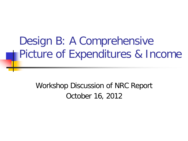## Design B: A Comprehensive Picture of Expenditures & Income

Workshop Discussion of NRC Report October 16, 2012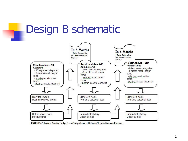#### Design B schematic



FIGURE 6-2 Process flow for Design B - A Comprehensive Picture of Expenditures and Income.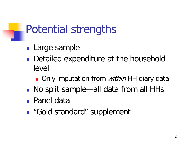# Potential strengths

- **Large sample**
- Detailed expenditure at the household level
	- Only imputation from *within* HH diary data
- No split sample—all data from all HHs
- Panel data
- "Gold standard" supplement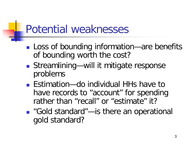### Potential weaknesses

- **Loss of bounding information—are benefits** of bounding worth the cost?
- Streamlining—will it mitigate response problems
- Estimation—do individual HHs have to have records to "account" for spending rather than "recall" or "estimate" it?
- "Gold standard"—is there an operational gold standard?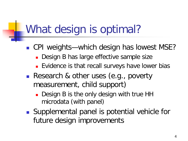## What design is optimal?

- CPI weights—which design has lowest MSE?
	- Design B has large effective sample size
	- **Evidence is that recall surveys have lower bias**
- Research & other uses (e.g., poverty measurement, child support)
	- Design B is the only design with true HH microdata (with panel)
- Supplemental panel is potential vehicle for future design improvements